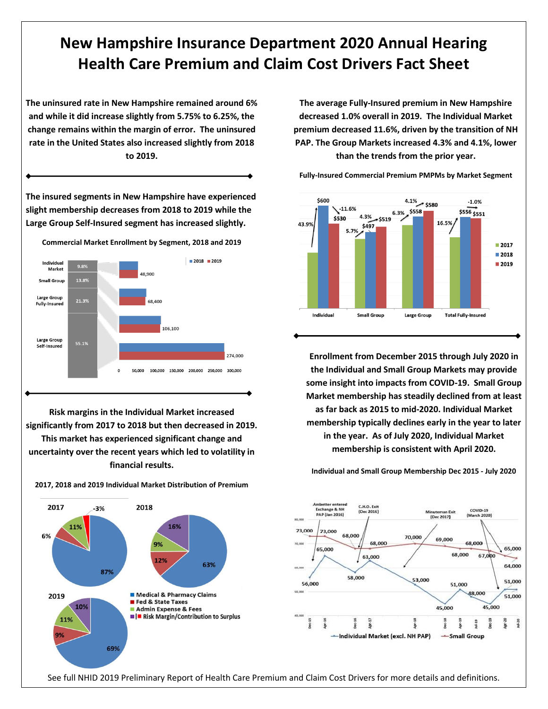## **New Hampshire Insurance Department 2020 Annual Hearing Health Care Premium and Claim Cost Drivers Fact Sheet**

**The uninsured rate in New Hampshire remained around 6% and while it did increase slightly from 5.75% to 6.25%, the change remains within the margin of error. The uninsured rate in the United States also increased slightly from 2018 to 2019.**

**The insured segments in New Hampshire have experienced slight membership decreases from 2018 to 2019 while the Large Group Self-Insured segment has increased slightly. Commercial Market Enrollment by Segment, 2018 and 2019**  $2018$  2019 Individual 9.8% Market is ann 13.8% **Small Group** Large Group 21.3% **Fully-Insured** 106.100 Large Group 55.1% Self-Insured 274,000 50.000 100,000 150,000 200,000 250,000 300,000

**Risk margins in the Individual Market increased significantly from 2017 to 2018 but then decreased in 2019. This market has experienced significant change and uncertainty over the recent years which led to volatility in financial results.**

**2017, 2018 and 2019 Individual Market Distribution of Premium**

2017 2018  $-3%$ 16% 6% 9%  $12%$ 63% 87% Medical & Pharmacy Claims 2019 Fed & State Taxes 10% Admin Expense & Fees ■ | ■ Risk Margin/Contribution to Surplus 11% 69%

**The average Fully-Insured premium in New Hampshire decreased 1.0% overall in 2019. The Individual Market premium decreased 11.6%, driven by the transition of NH PAP. The Group Markets increased 4.3% and 4.1%, lower than the trends from the prior year.**

**Fully-Insured Commercial Premium PMPMs by Market Segment**



**Enrollment from December 2015 through July 2020 in the Individual and Small Group Markets may provide some insight into impacts from COVID-19. Small Group Market membership has steadily declined from at least as far back as 2015 to mid-2020. Individual Market membership typically declines early in the year to later in the year. As of July 2020, Individual Market membership is consistent with April 2020.**



**Individual and Small Group Membership Dec 2015 - July 2020**

See full NHID 2019 Preliminary Report of Health Care Premium and Claim Cost Drivers for more details and definitions.